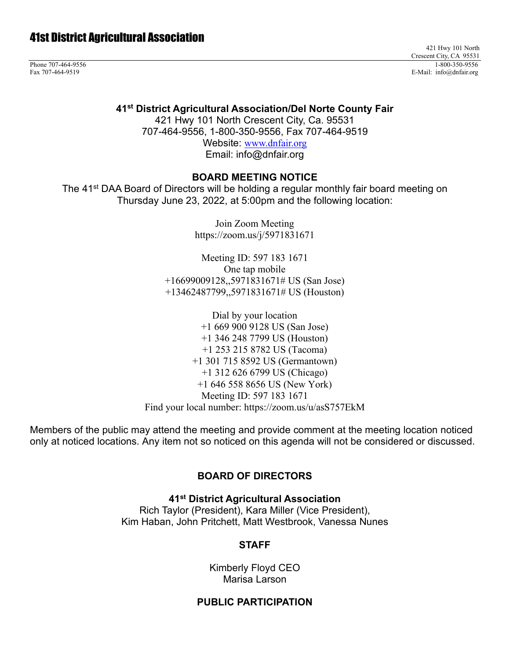421 Hwy 101 North Crescent City, CA 95531 Phone 707-464-9556 1-800-350-9556 1-800-350-9556 1-800-350-9556 1-800-350-9556 1-800-350-9556 1-800-350-9556 1-800-350-9556 1-800-350-9556 1-800-350-9556 1-800-350-9556 1-800-350-9556 1-800-350-9556 1-800-350-9556 1-800-35 Fax 707-464-9519 E-Mail: info@dnfair.org

**41st District Agricultural Association/Del Norte County Fair**

421 Hwy 101 North Crescent City, Ca. 95531 707-464-9556, 1-800-350-9556, Fax 707-464-9519

> Website: [www.dnfair.org](http://www.dnfair.org/) Email: info@dnfair.org

#### **BOARD MEETING NOTICE**

The 41<sup>st</sup> DAA Board of Directors will be holding a regular monthly fair board meeting on Thursday June 23, 2022, at 5:00pm and the following location:

> Join Zoom Meeting https://zoom.us/j/5971831671

Meeting ID: 597 183 1671 One tap mobile +16699009128,,5971831671# US (San Jose) +13462487799,,5971831671# US (Houston)

Dial by your location +1 669 900 9128 US (San Jose) +1 346 248 7799 US (Houston) +1 253 215 8782 US (Tacoma) +1 301 715 8592 US (Germantown) +1 312 626 6799 US (Chicago) +1 646 558 8656 US (New York) Meeting ID: 597 183 1671 Find your local number: https://zoom.us/u/asS757EkM

Members of the public may attend the meeting and provide comment at the meeting location noticed only at noticed locations. Any item not so noticed on this agenda will not be considered or discussed.

# **BOARD OF DIRECTORS**

**41st District Agricultural Association**

Rich Taylor (President), Kara Miller (Vice President), Kim Haban, John Pritchett, Matt Westbrook, Vanessa Nunes

# **STAFF**

Kimberly Floyd CEO Marisa Larson

#### **PUBLIC PARTICIPATION**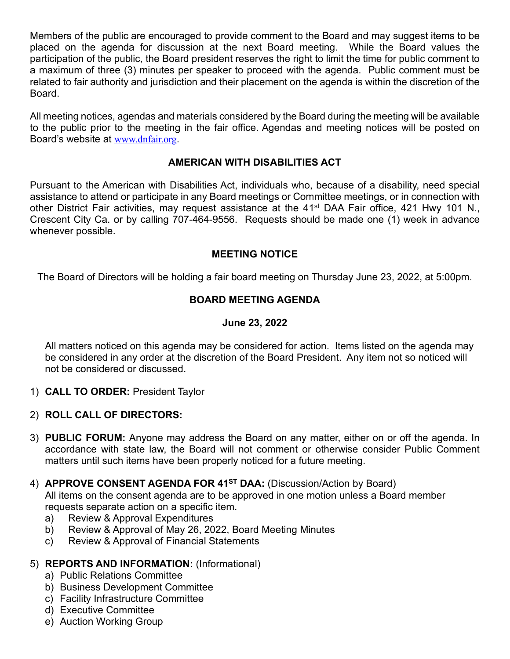Members of the public are encouraged to provide comment to the Board and may suggest items to be placed on the agenda for discussion at the next Board meeting. While the Board values the participation of the public, the Board president reserves the right to limit the time for public comment to a maximum of three (3) minutes per speaker to proceed with the agenda. Public comment must be related to fair authority and jurisdiction and their placement on the agenda is within the discretion of the Board.

All meeting notices, agendas and materials considered by the Board during the meeting will be available to the public prior to the meeting in the fair office. Agendas and meeting notices will be posted on Board's website at [www.dnfair.org](http://www.dnfair.org/).

# **AMERICAN WITH DISABILITIES ACT**

Pursuant to the American with Disabilities Act, individuals who, because of a disability, need special assistance to attend or participate in any Board meetings or Committee meetings, or in connection with other District Fair activities, may request assistance at the 41<sup>st</sup> DAA Fair office, 421 Hwy 101 N., Crescent City Ca. or by calling 707-464-9556. Requests should be made one (1) week in advance whenever possible.

# **MEETING NOTICE**

The Board of Directors will be holding a fair board meeting on Thursday June 23, 2022, at 5:00pm.

# **BOARD MEETING AGENDA**

# **June 23, 2022**

All matters noticed on this agenda may be considered for action. Items listed on the agenda may be considered in any order at the discretion of the Board President. Any item not so noticed will not be considered or discussed.

- 1) **CALL TO ORDER:** President Taylor
- 2) **ROLL CALL OF DIRECTORS:**
- 3) **PUBLIC FORUM:** Anyone may address the Board on any matter, either on or off the agenda. In accordance with state law, the Board will not comment or otherwise consider Public Comment matters until such items have been properly noticed for a future meeting.
- 4) **APPROVE CONSENT AGENDA FOR 41ST DAA:** (Discussion/Action by Board)

All items on the consent agenda are to be approved in one motion unless a Board member requests separate action on a specific item.

- a) Review & Approval Expenditures
- b) Review & Approval of May 26, 2022, Board Meeting Minutes
- c) Review & Approval of Financial Statements

#### 5) **REPORTS AND INFORMATION:** (Informational)

- a) Public Relations Committee
- b) Business Development Committee
- c) Facility Infrastructure Committee
- d) Executive Committee
- e) Auction Working Group